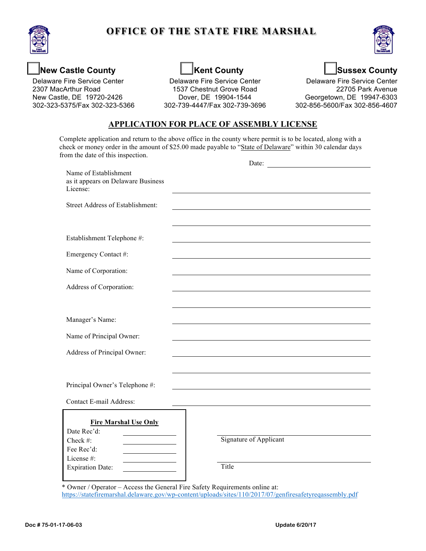

## **OFFICE OF THE STATE FIRE MARSHAL**



### **New Castle County**

Delaware Fire Service Center 2307 MacArthur Road New Castle, DE 19720-2426 302-323-5375/Fax 302-323-5366

# **Kent County**

Delaware Fire Service Center 1537 Chestnut Grove Road Dover, DE 19904-1544 302-739-4447/Fax 302-739-3696 **Sussex County** 

Delaware Fire Service Center 22705 Park Avenue Georgetown, DE 19947-6303 302-856-5600/Fax 302-856-4607

#### **APPLICATION FOR PLACE OF ASSEMBLY LICENSE**

Complete application and return to the above office in the county where permit is to be located, along with a check or money order in the amount of \$25.00 made payable to "State of Delaware" within 30 calendar days from the date of this inspection.

|                                                                                                                | Date:                                  |
|----------------------------------------------------------------------------------------------------------------|----------------------------------------|
| Name of Establishment<br>as it appears on Delaware Business<br>License:                                        |                                        |
| <b>Street Address of Establishment:</b>                                                                        |                                        |
| Establishment Telephone #:                                                                                     |                                        |
| Emergency Contact #:                                                                                           |                                        |
| Name of Corporation:                                                                                           |                                        |
| Address of Corporation:                                                                                        |                                        |
|                                                                                                                |                                        |
| Manager's Name:                                                                                                |                                        |
| Name of Principal Owner:                                                                                       |                                        |
| Address of Principal Owner:                                                                                    |                                        |
|                                                                                                                |                                        |
| Principal Owner's Telephone #:                                                                                 |                                        |
| Contact E-mail Address:                                                                                        |                                        |
| <b>Fire Marshal Use Only</b><br>Date Rec'd:<br>Check #:<br>Fee Rec'd:<br>License #:<br><b>Expiration Date:</b> | <b>Signature of Applicant</b><br>Title |

\* Owner / Operator – Access the General Fire Safety Requirements online at: <https://statefiremarshal.delaware.gov/wp-content/uploads/sites/110/2017/07/genfiresafetyreqassembly.pdf>